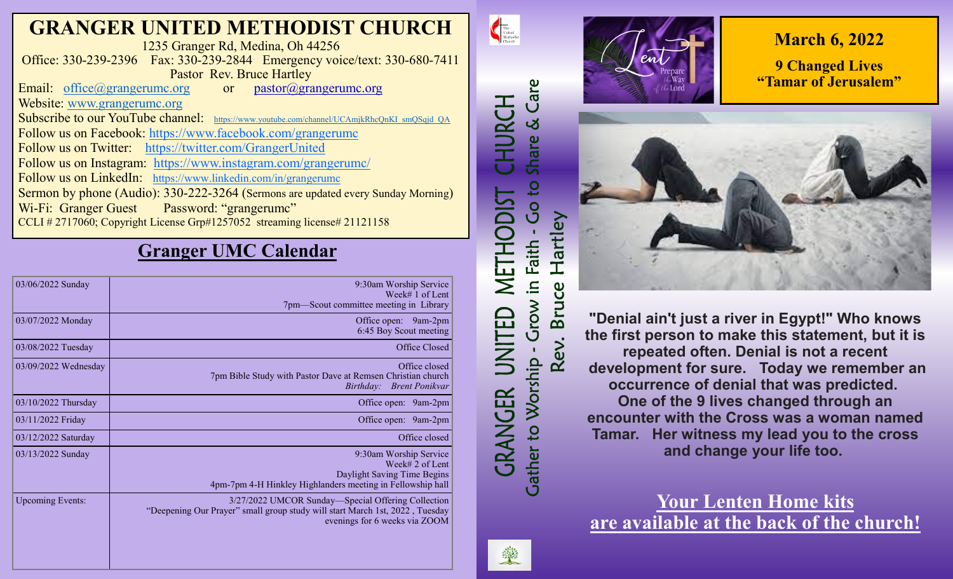# **GRANGER UNITED METHODIST CHURCH**

1235 Granger Rd, Medina, Oh 44256 Office: 330-239-2396 Fax: 330-239-2844 Emergency voice/text: 330-680-7411 Pastor Rev. Bruce Hartley

Email: [office@grangerumc.org](mailto:office@grangerumc.org) or pastor@grangerumc.org Website: [www.grangerumc.org](http://www.grangerumc.org) Subscribe to our YouTube channel: [https://www.youtube.com/channel/UCAmjkRhcQnKI\\_smQSqjd\\_QA](https://www.youtube.com/channel/UCAmjkRhcQnKI_smQSqjd_QA) Follow us on Facebook: <https://www.facebook.com/grangerumc> Follow us on Twitter: <https://twitter.com/GrangerUnited> Follow us on Instagram: <https://www.instagram.com/grangerumc/> Follow us on LinkedIn: [https://www.linkedin.com/in/grangerumc](https://www.linkedin.com/in/secretary-granger-umc-1a9850215/detail/recent-activity/) Sermon by phone (Audio): 330-222-3264 (Sermons are updated every Sunday Morning) Wi-Fi: Granger Guest Password: "grangerumc" CCLI # 2717060; Copyright License Grp#1257052 streaming license# 21121158

## **Granger UMC Calendar**

| 03/06/2022 Sunday       | 9:30am Worship Service<br>Week# 1 of Lent<br>7pm-Scout committee meeting in Library |
|-------------------------|-------------------------------------------------------------------------------------|
|                         |                                                                                     |
| 03/07/2022 Monday       | Office open: 9am-2pm<br>6:45 Boy Scout meeting                                      |
| 03/08/2022 Tuesday      | Office Closed                                                                       |
| 03/09/2022 Wednesday    | Office closed                                                                       |
|                         | 7pm Bible Study with Pastor Dave at Remsen Christian church                         |
|                         | <b>Brent Ponikvar</b><br><i>Birthday:</i>                                           |
| 03/10/2022 Thursday     | Office open:<br>9am-2pm                                                             |
| 03/11/2022 Friday       | Office open: 9am-2pm                                                                |
| 03/12/2022 Saturday     | Office closed                                                                       |
| 03/13/2022 Sunday       | 9:30am Worship Service                                                              |
|                         | Week# 2 of Lent                                                                     |
|                         | Daylight Saving Time Begins                                                         |
|                         | 4pm-7pm 4-H Hinkley Highlanders meeting in Fellowship hall                          |
| <b>Upcoming Events:</b> | 3/27/2022 UMCOR Sunday—Special Offering Collection                                  |
|                         | "Deepening Our Prayer" small group study will start March 1st, 2022, Tuesday        |
|                         | evenings for 6 weeks via ZOOM                                                       |
|                         |                                                                                     |
|                         |                                                                                     |
|                         |                                                                                     |



## **March 6, 2022**

**9 Changed Lives "Tamar of Jerusalem"**



**"Denial ain't just a river in Egypt!" Who knows the first person to make this statement, but it is repeated often. Denial is not a recent development for sure. Today we remember an occurrence of denial that was predicted. One of the 9 lives changed through an encounter with the Cross was a woman named Tamar. Her witness my lead you to the cross and change your life too.**

**Your Lenten Home kits are available at the back of the church!**



The United Methodist

CHURCH

METHODIST

戸

**GER** 

GRAN

Care

Share &

Go to

Faith

 $\equiv$ 

Grow i

to Worship

**Cather** 

Rev.